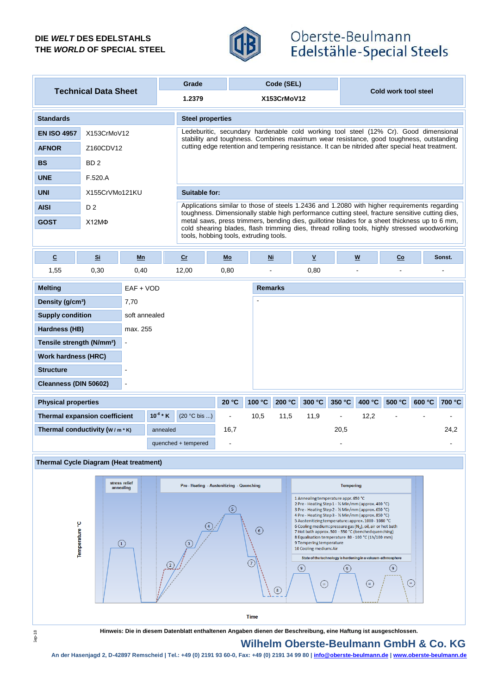## **DIE** *WELT* **DES EDELSTAHLS THE** *WORLD* **OF SPECIAL STEEL**



# Oberste-Beulmann Edelstähle-Special Steels

| <b>Technical Data Sheet</b>       |                 | Grade         | Code (SEL)                                                                                                                                                                     | Cold work tool steel                                                                                                                                                                             |  |  |  |  |  |
|-----------------------------------|-----------------|---------------|--------------------------------------------------------------------------------------------------------------------------------------------------------------------------------|--------------------------------------------------------------------------------------------------------------------------------------------------------------------------------------------------|--|--|--|--|--|
|                                   |                 | 1.2379        | X153CrMoV12                                                                                                                                                                    |                                                                                                                                                                                                  |  |  |  |  |  |
| <b>Standards</b>                  |                 |               | <b>Steel properties</b>                                                                                                                                                        |                                                                                                                                                                                                  |  |  |  |  |  |
| <b>EN ISO 4957</b><br>X153CrMoV12 |                 |               | Ledeburitic, secundary hardenable cold working tool steel (12% Cr). Good dimensional<br>stability and toughness. Combines maximum wear resistance, good toughness, outstanding |                                                                                                                                                                                                  |  |  |  |  |  |
| <b>AFNOR</b>                      | Z160CDV12       |               | cutting edge retention and tempering resistance. It can be nitrided after special heat treatment.                                                                              |                                                                                                                                                                                                  |  |  |  |  |  |
| <b>BS</b>                         | BD <sub>2</sub> |               |                                                                                                                                                                                |                                                                                                                                                                                                  |  |  |  |  |  |
| <b>UNE</b>                        | F.520.A         |               |                                                                                                                                                                                |                                                                                                                                                                                                  |  |  |  |  |  |
| <b>UNI</b>                        | X155CrVMo121KU  | Suitable for: |                                                                                                                                                                                |                                                                                                                                                                                                  |  |  |  |  |  |
| <b>AISI</b>                       | D <sub>2</sub>  |               |                                                                                                                                                                                | Applications similar to those of steels 1.2436 and 1.2080 with higher requirements regarding<br>toughness. Dimensionally stable high performance cutting steel, fracture sensitive cutting dies, |  |  |  |  |  |
| <b>GOST</b>                       | X12MФ           |               | tools, hobbing tools, extruding tools.                                                                                                                                         | metal saws, press trimmers, bending dies, guillotine blades for a sheet thickness up to 6 mm,<br>cold shearing blades, flash trimming dies, thread rolling tools, highly stressed woodworking    |  |  |  |  |  |

| $\underline{\mathbf{c}}$                                | Si   | Mn             | Cr                     | $Mo$                     | <u>Ni</u>                |        | $\underline{\mathsf{v}}$ |        | $\underline{w}$ | Co                           |        | Sonst.         |
|---------------------------------------------------------|------|----------------|------------------------|--------------------------|--------------------------|--------|--------------------------|--------|-----------------|------------------------------|--------|----------------|
| 1,55                                                    | 0,30 | 0,40           | 12,00                  | 0,80                     | ۰                        |        | 0,80                     |        | $\blacksquare$  | $\qquad \qquad \blacksquare$ |        | $\blacksquare$ |
| <b>Melting</b>                                          |      | $EAF + VOD$    |                        |                          | <b>Remarks</b>           |        |                          |        |                 |                              |        |                |
| Density (g/cm <sup>3</sup> )<br>7,70                    |      |                |                        |                          | $\overline{\phantom{a}}$ |        |                          |        |                 |                              |        |                |
| <b>Supply condition</b>                                 |      | soft annealed  |                        |                          |                          |        |                          |        |                 |                              |        |                |
| Hardness (HB)                                           |      | max. 255       |                        |                          |                          |        |                          |        |                 |                              |        |                |
| Tensile strength (N/mm <sup>2</sup> )<br>$\blacksquare$ |      |                |                        |                          |                          |        |                          |        |                 |                              |        |                |
| <b>Work hardness (HRC)</b>                              |      |                |                        |                          |                          |        |                          |        |                 |                              |        |                |
| <b>Structure</b><br>$\overline{\phantom{a}}$            |      |                |                        |                          |                          |        |                          |        |                 |                              |        |                |
| Cleanness (DIN 50602)                                   |      | $\blacksquare$ |                        |                          |                          |        |                          |        |                 |                              |        |                |
| <b>Physical properties</b>                              |      |                | 20 °C                  | 100 °C                   | 200 °C                   | 300 °C | 350 °C                   | 400 °C | 500 °C          | 600 °C                       | 700 °C |                |
| <b>Thermal expansion coefficient</b>                    |      | $10^{-6}$ * K  | $(20 °C \text{ bis} )$ | $\overline{\phantom{a}}$ | 10,5                     | 11,5   | 11,9                     | ٠      | 12,2            |                              |        |                |
| Thermal conductivity $(w/m * K)$                        |      |                | annealed               | 16,7                     |                          |        |                          | 20,5   |                 |                              |        | 24,2           |
|                                                         |      |                | quenched + tempered    | $\blacksquare$           |                          |        |                          |        |                 |                              |        | ٠              |





**Hinweis: Die in diesem Datenblatt enthaltenen Angaben dienen der Beschreibung, eine Haftung ist ausgeschlossen.**

# **Wilhelm Oberste-Beulmann GmbH & Co. KG**

**An der Hasenjagd 2, D-42897 Remscheid | Tel.: +49 (0) 2191 93 60-0, Fax: +49 (0) 2191 34 99 80 | info@oberste-beulmann.de | www.oberste-beulmann.de**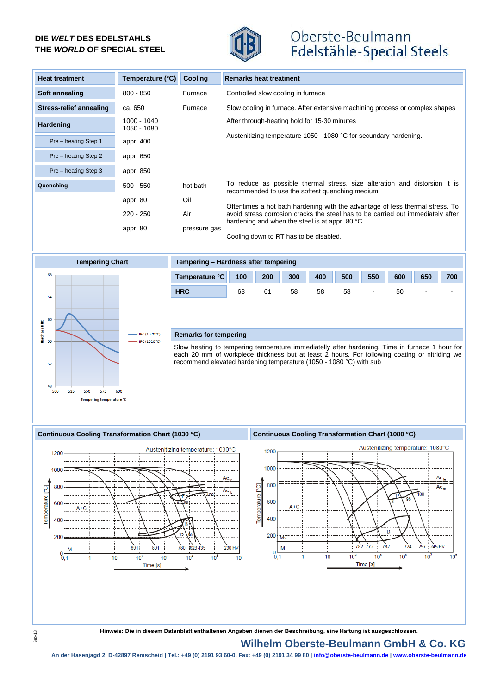# **DIE** *WELT* **DES EDELSTAHLS THE** *WORLD* **OF SPECIAL STEEL**



# Oberste-Beulmann Edelstähle-Special Steels

| <b>Heat treatment</b>   | Temperature (°C)           | <b>Cooling</b> | <b>Remarks heat treatment</b>                                                                                                                                                                                       |
|-------------------------|----------------------------|----------------|---------------------------------------------------------------------------------------------------------------------------------------------------------------------------------------------------------------------|
| Soft annealing          | $800 - 850$                | Furnace        | Controlled slow cooling in furnace                                                                                                                                                                                  |
| Stress-relief annealing | ca. 650                    | Furnace        | Slow cooling in furnace. After extensive machining process or complex shapes                                                                                                                                        |
| Hardening               | 1000 - 1040<br>1050 - 1080 |                | After through-heating hold for 15-30 minutes                                                                                                                                                                        |
| Pre - heating Step 1    | appr. 400                  |                | Austenitizing temperature 1050 - 1080 °C for secundary hardening.                                                                                                                                                   |
| Pre - heating Step 2    | appr. 650                  |                |                                                                                                                                                                                                                     |
| Pre - heating Step 3    | appr. 850                  |                |                                                                                                                                                                                                                     |
| Quenching               | $500 - 550$                | hot bath       | To reduce as possible thermal stress, size alteration and distorsion it is<br>recommended to use the softest quenching medium.                                                                                      |
|                         | appr. 80                   | Oil            |                                                                                                                                                                                                                     |
|                         | $220 - 250$                | Air            | Oftentimes a hot bath hardening with the advantage of less thermal stress. To<br>avoid stress corrosion cracks the steel has to be carried out immediately after<br>hardening and when the steel is at appr. 80 °C. |
|                         | appr. 80                   | pressure gas   | Cooling down to RT has to be disabled.                                                                                                                                                                              |



| Tempering - Hardness after tempering |     |     |     |     |     |                          |     |                          |                          |  |
|--------------------------------------|-----|-----|-----|-----|-----|--------------------------|-----|--------------------------|--------------------------|--|
| Temperature °C                       | 100 | 200 | 300 | 400 | 500 | 550                      | 600 | 650                      | 700                      |  |
| <b>HRC</b>                           | 63  | 61  | 58  | 58  | 58  | $\overline{\phantom{a}}$ | 50  | $\overline{\phantom{a}}$ | $\overline{\phantom{0}}$ |  |
|                                      |     |     |     |     |     |                          |     |                          |                          |  |

#### **Remarks for tempering**

Slow heating to tempering temperature immediatelly after hardening. Time in furnace 1 hour for each 20 mm of workpiece thickness but at least 2 hours. For following coating or nitriding we recommend elevated hardening temperature (1050 - 1080 °C) with sub

### **Continuous Cooling Transformation Chart (1030 °C) Continuous Cooling Transformation Chart (1080 °C)**





**Hinweis: Die in diesem Datenblatt enthaltenen Angaben dienen der Beschreibung, eine Haftung ist ausgeschlossen.**

## **Wilhelm Oberste-Beulmann GmbH & Co. KG**

**An der Hasenjagd 2, D-42897 Remscheid | Tel.: +49 (0) 2191 93 60-0, Fax: +49 (0) 2191 34 99 80 | info@oberste-beulmann.de | www.oberste-beulmann.de**